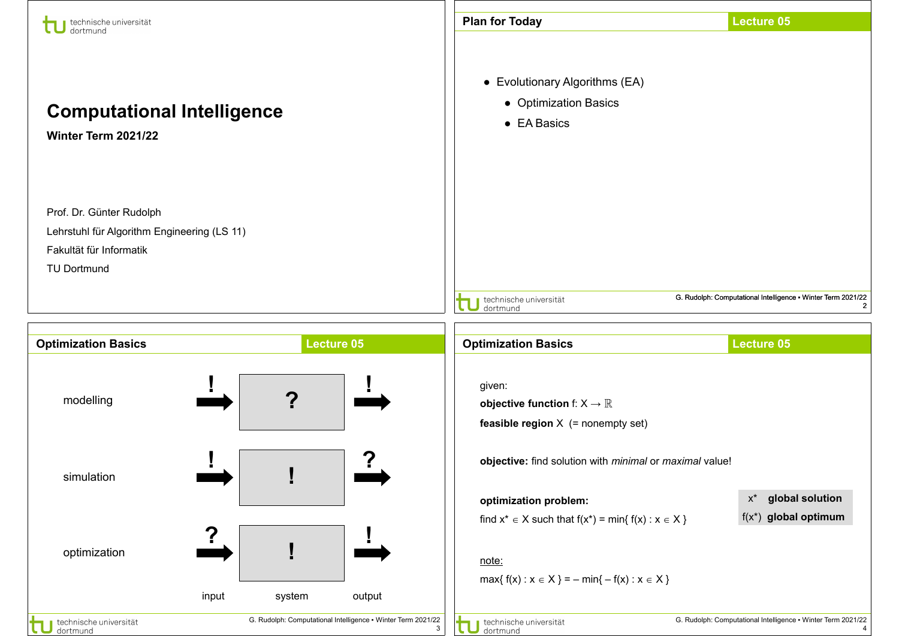| technische universität<br>dortmund                                                                                       |   |                   | <b>Plan for Today</b>                                                                              | <b>Lecture 05</b>                                            |
|--------------------------------------------------------------------------------------------------------------------------|---|-------------------|----------------------------------------------------------------------------------------------------|--------------------------------------------------------------|
| <b>Computational Intelligence</b><br>Winter Term 2021/22                                                                 |   |                   | • Evolutionary Algorithms (EA)<br>• Optimization Basics<br>• EA Basics                             |                                                              |
| Prof. Dr. Günter Rudolph<br>Lehrstuhl für Algorithm Engineering (LS 11)<br>Fakultät für Informatik<br><b>TU Dortmund</b> |   |                   | technische universität<br>dortmund                                                                 | G. Rudolph: Computational Intelligence . Winter Term 2021/22 |
|                                                                                                                          |   |                   |                                                                                                    |                                                              |
| <b>Optimization Basics</b>                                                                                               |   | <b>Lecture 05</b> | <b>Optimization Basics</b>                                                                         | <b>Lecture 05</b>                                            |
| modelling                                                                                                                | 2 |                   | given:<br>objective function f: $X \rightarrow \mathbb{R}$<br>feasible region $X$ (= nonempty set) |                                                              |
| simulation                                                                                                               |   |                   | objective: find solution with minimal or maximal value!                                            |                                                              |
|                                                                                                                          |   |                   | optimization problem:<br>find $x^* \in X$ such that $f(x^*) = min\{ f(x) : x \in X \}$             | global solution<br>$X^*$<br>$f(x^*)$ global optimum          |
| optimization                                                                                                             |   |                   | note:<br>$max{f(x) : x \in X} = -min{-f(x) : x \in X}$                                             |                                                              |

- 1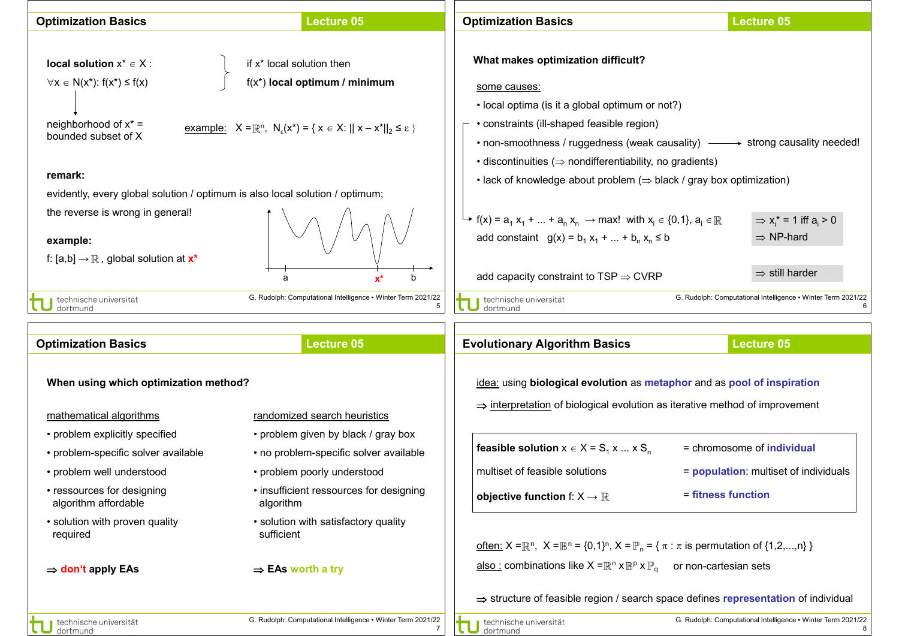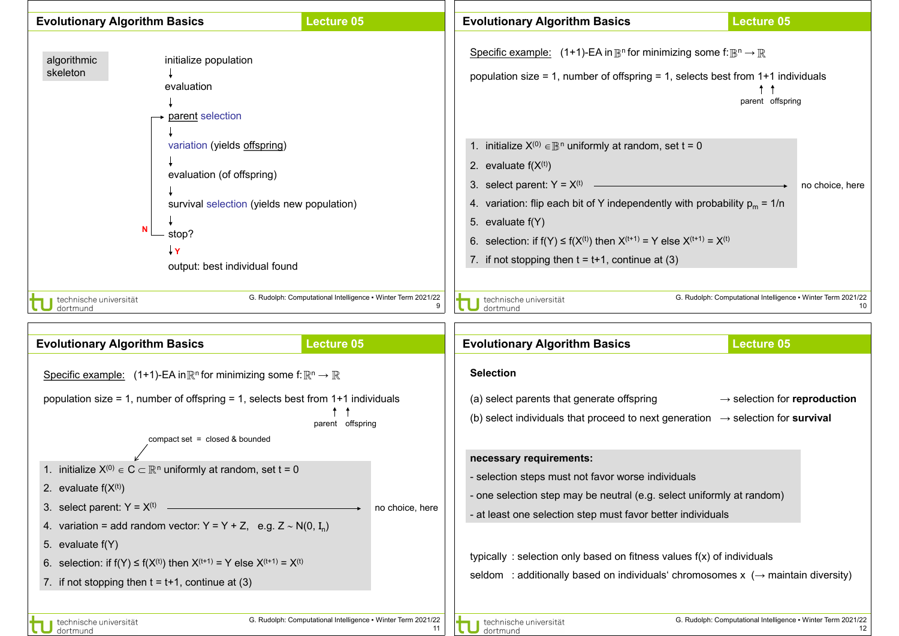

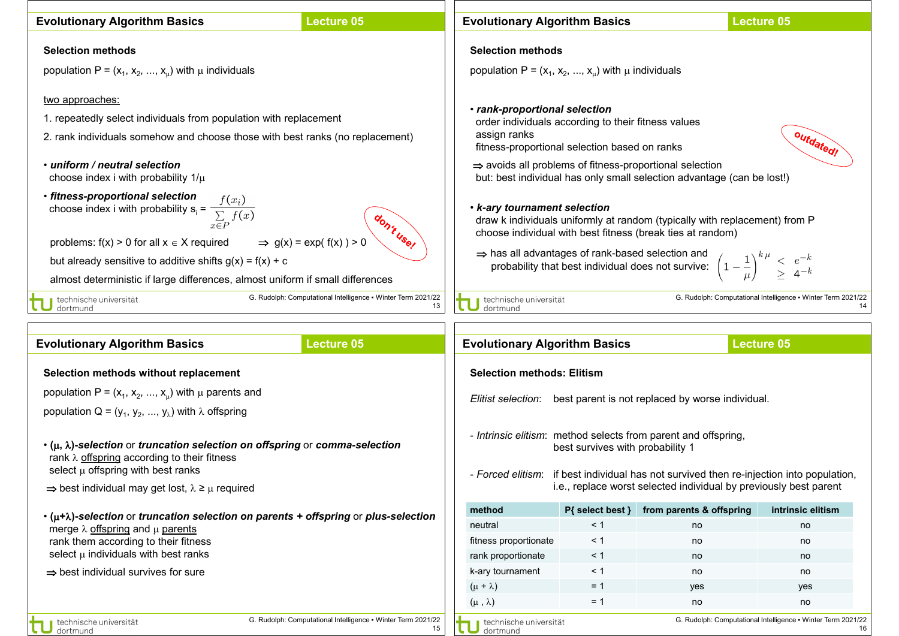| <b>Evolutionary Algorithm Basics</b>                                                                                                                                                                                                                                                                                                  | <b>Lecture 05</b>                                                                                                                                                                                                                                                                          |  | <b>Evolutionary Algorithm Basics</b> |                                                                                                                                                                                                                                                                                                                                                                                                                                                                                                                                                                                                                                                                                                                                                                                        |                                                                     | <b>Lecture 05</b>                                                                                                                                             |  |
|---------------------------------------------------------------------------------------------------------------------------------------------------------------------------------------------------------------------------------------------------------------------------------------------------------------------------------------|--------------------------------------------------------------------------------------------------------------------------------------------------------------------------------------------------------------------------------------------------------------------------------------------|--|--------------------------------------|----------------------------------------------------------------------------------------------------------------------------------------------------------------------------------------------------------------------------------------------------------------------------------------------------------------------------------------------------------------------------------------------------------------------------------------------------------------------------------------------------------------------------------------------------------------------------------------------------------------------------------------------------------------------------------------------------------------------------------------------------------------------------------------|---------------------------------------------------------------------|---------------------------------------------------------------------------------------------------------------------------------------------------------------|--|
| <b>Selection methods</b>                                                                                                                                                                                                                                                                                                              |                                                                                                                                                                                                                                                                                            |  | <b>Selection methods</b>             |                                                                                                                                                                                                                                                                                                                                                                                                                                                                                                                                                                                                                                                                                                                                                                                        |                                                                     |                                                                                                                                                               |  |
| population P = $(x_1, x_2, , x_n)$ with $\mu$ individuals                                                                                                                                                                                                                                                                             |                                                                                                                                                                                                                                                                                            |  |                                      |                                                                                                                                                                                                                                                                                                                                                                                                                                                                                                                                                                                                                                                                                                                                                                                        |                                                                     |                                                                                                                                                               |  |
| two approaches:<br>• uniform / neutral selection<br>choose index i with probability $1/\mu$<br>· fitness-proportional selection<br>choose index i with probability $s_i = \frac{f(x_i)}{\sum\limits_{x \in P} f(x)}$<br>problems: $f(x) > 0$ for all $x \in X$ required<br>but already sensitive to additive shifts $g(x) = f(x) + c$ | 1. repeatedly select individuals from population with replacement<br>2. rank individuals somehow and choose those with best ranks (no replacement)<br>don't use!<br>$\Rightarrow$ g(x) = exp( f(x) ) > 0<br>almost deterministic if large differences, almost uniform if small differences |  |                                      | population P = $(x_1, x_2, , x_n)$ with $\mu$ individuals<br>· rank-proportional selection<br>order individuals according to their fitness values<br>assign ranks<br>outdated!<br>fitness-proportional selection based on ranks<br>$\Rightarrow$ avoids all problems of fitness-proportional selection<br>but: best individual has only small selection advantage (can be lost!)<br>• k-ary tournament selection<br>draw k individuals uniformly at random (typically with replacement) from P<br>choose individual with best fitness (break ties at random)<br>⇒ has all advantages of rank-based selection and<br>has all advantages of rank-based selection and<br>probability that best individual does not survive: $\left(1-\frac{1}{\mu}\right)^{k\mu} \leq e^{-k}$<br>$4^{-k}$ |                                                                     |                                                                                                                                                               |  |
| technische universität<br>dortmund                                                                                                                                                                                                                                                                                                    | G. Rudolph: Computational Intelligence . Winter Term 2021/22<br>13                                                                                                                                                                                                                         |  | technische universität<br>dortmund   |                                                                                                                                                                                                                                                                                                                                                                                                                                                                                                                                                                                                                                                                                                                                                                                        |                                                                     | G. Rudolph: Computational Intelligence • Winter Term 2021/22<br>14                                                                                            |  |
|                                                                                                                                                                                                                                                                                                                                       |                                                                                                                                                                                                                                                                                            |  |                                      |                                                                                                                                                                                                                                                                                                                                                                                                                                                                                                                                                                                                                                                                                                                                                                                        |                                                                     |                                                                                                                                                               |  |
| <b>Evolutionary Algorithm Basics</b>                                                                                                                                                                                                                                                                                                  | <b>Lecture 05</b>                                                                                                                                                                                                                                                                          |  | <b>Evolutionary Algorithm Basics</b> |                                                                                                                                                                                                                                                                                                                                                                                                                                                                                                                                                                                                                                                                                                                                                                                        |                                                                     | <b>Lecture 05</b>                                                                                                                                             |  |
| Selection methods without replacement                                                                                                                                                                                                                                                                                                 |                                                                                                                                                                                                                                                                                            |  | <b>Selection methods: Elitism</b>    |                                                                                                                                                                                                                                                                                                                                                                                                                                                                                                                                                                                                                                                                                                                                                                                        |                                                                     |                                                                                                                                                               |  |
| population P = $(x_1, x_2, , x_u)$ with $\mu$ parents and<br>population Q = $(y_1, y_2, , y_\lambda)$ with $\lambda$ offspring                                                                                                                                                                                                        |                                                                                                                                                                                                                                                                                            |  |                                      |                                                                                                                                                                                                                                                                                                                                                                                                                                                                                                                                                                                                                                                                                                                                                                                        | Elitist selection: best parent is not replaced by worse individual. |                                                                                                                                                               |  |
| $\cdot$ ( $\mu$ , $\lambda$ )-selection or truncation selection on offspring or comma-selection<br>rank $\lambda$ offspring according to their fitness<br>select $\mu$ offspring with best ranks<br>$\Rightarrow$ best individual may get lost, $\lambda \geq \mu$ required                                                           |                                                                                                                                                                                                                                                                                            |  |                                      | best survives with probability 1                                                                                                                                                                                                                                                                                                                                                                                                                                                                                                                                                                                                                                                                                                                                                       | - Intrinsic elitism: method selects from parent and offspring,      | - Forced elitism: if best individual has not survived then re-injection into population,<br>i.e., replace worst selected individual by previously best parent |  |
|                                                                                                                                                                                                                                                                                                                                       |                                                                                                                                                                                                                                                                                            |  | method                               | $P{$ select best $}$                                                                                                                                                                                                                                                                                                                                                                                                                                                                                                                                                                                                                                                                                                                                                                   | from parents & offspring                                            | intrinsic elitism                                                                                                                                             |  |
| $\cdot$ ( $\mu + \lambda$ )-selection or truncation selection on parents + offspring or plus-selection<br>merge $\lambda$ offspring and $\mu$ parents                                                                                                                                                                                 |                                                                                                                                                                                                                                                                                            |  | neutral                              | < 1                                                                                                                                                                                                                                                                                                                                                                                                                                                                                                                                                                                                                                                                                                                                                                                    | no                                                                  | no                                                                                                                                                            |  |
| rank them according to their fitness                                                                                                                                                                                                                                                                                                  |                                                                                                                                                                                                                                                                                            |  | fitness proportionate                | < 1                                                                                                                                                                                                                                                                                                                                                                                                                                                                                                                                                                                                                                                                                                                                                                                    | no                                                                  | no                                                                                                                                                            |  |
| select $\mu$ individuals with best ranks                                                                                                                                                                                                                                                                                              |                                                                                                                                                                                                                                                                                            |  | rank proportionate                   | $\leq 1$                                                                                                                                                                                                                                                                                                                                                                                                                                                                                                                                                                                                                                                                                                                                                                               | no                                                                  | no                                                                                                                                                            |  |
| $\Rightarrow$ best individual survives for sure                                                                                                                                                                                                                                                                                       |                                                                                                                                                                                                                                                                                            |  | k-ary tournament                     | $\leq 1$                                                                                                                                                                                                                                                                                                                                                                                                                                                                                                                                                                                                                                                                                                                                                                               | no                                                                  | no                                                                                                                                                            |  |
|                                                                                                                                                                                                                                                                                                                                       |                                                                                                                                                                                                                                                                                            |  | $(\mu + \lambda)$                    | $= 1$                                                                                                                                                                                                                                                                                                                                                                                                                                                                                                                                                                                                                                                                                                                                                                                  | yes                                                                 | yes                                                                                                                                                           |  |
|                                                                                                                                                                                                                                                                                                                                       |                                                                                                                                                                                                                                                                                            |  | $(\mu, \lambda)$                     | $= 1$                                                                                                                                                                                                                                                                                                                                                                                                                                                                                                                                                                                                                                                                                                                                                                                  | no                                                                  | no                                                                                                                                                            |  |
| technische universität<br>dortmund                                                                                                                                                                                                                                                                                                    | G. Rudolph: Computational Intelligence • Winter Term 2021/22<br>15                                                                                                                                                                                                                         |  | technische universität<br>dortmund   |                                                                                                                                                                                                                                                                                                                                                                                                                                                                                                                                                                                                                                                                                                                                                                                        |                                                                     | G. Rudolph: Computational Intelligence . Winter Term 2021/22<br>16                                                                                            |  |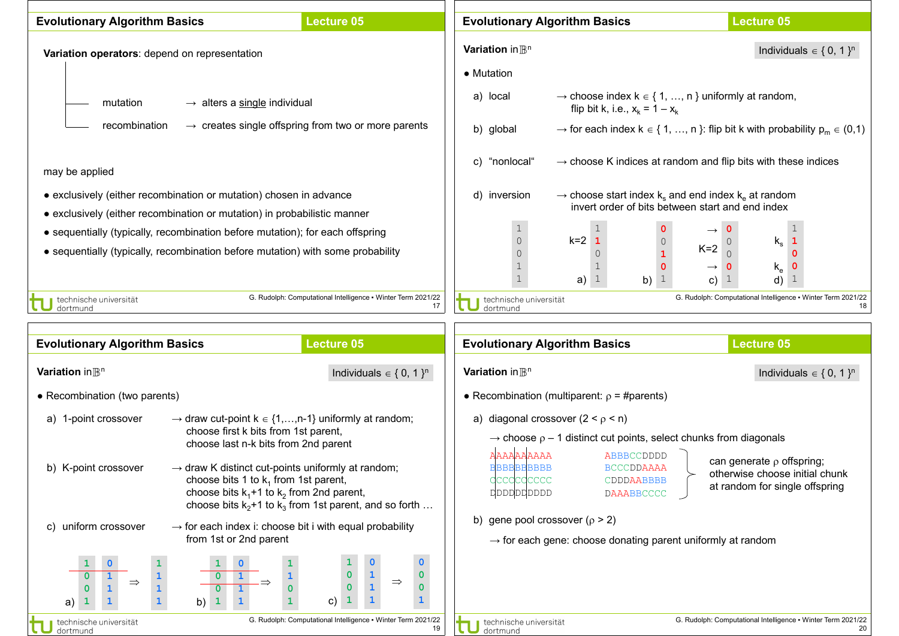| <b>Evolutionary Algorithm Basics</b> |                                                                                                                                                                  | <b>Lecture 05</b>                                                  |                                               | <b>Evolutionary Algorithm Basics</b>                                                                                        | <b>Lecture 05</b>                                                                                                                          |
|--------------------------------------|------------------------------------------------------------------------------------------------------------------------------------------------------------------|--------------------------------------------------------------------|-----------------------------------------------|-----------------------------------------------------------------------------------------------------------------------------|--------------------------------------------------------------------------------------------------------------------------------------------|
|                                      | Variation operators: depend on representation                                                                                                                    |                                                                    | Variation in $\mathbb{B}^n$<br>• Mutation     |                                                                                                                             | Individuals $\in \{0, 1\}^n$                                                                                                               |
| mutation                             | $\rightarrow$ alters a single individual                                                                                                                         |                                                                    | a) local                                      | flip bit k, i.e., $x_k = 1 - x_k$                                                                                           | $\rightarrow$ choose index $k \in \{1, , n\}$ uniformly at random,                                                                         |
| recombination                        |                                                                                                                                                                  | $\rightarrow$ creates single offspring from two or more parents    | b) global                                     |                                                                                                                             | $\rightarrow$ for each index $k \in \{1, , n\}$ : flip bit k with probability $p_m \in (0,1)$                                              |
| may be applied                       |                                                                                                                                                                  |                                                                    | "nonlocal"<br>C)                              |                                                                                                                             | $\rightarrow$ choose K indices at random and flip bits with these indices                                                                  |
|                                      | • exclusively (either recombination or mutation) chosen in advance<br>• exclusively (either recombination or mutation) in probabilistic manner                   |                                                                    | d) inversion                                  |                                                                                                                             | $\rightarrow$ choose start index k <sub>s</sub> and end index k <sub>e</sub> at random<br>invert order of bits between start and end index |
|                                      | • sequentially (typically, recombination before mutation); for each offspring<br>• sequentially (typically, recombination before mutation) with some probability |                                                                    | $\mathbf{1}$<br>$\mathbb O$                   | $\mathbf{1}$<br>$k=2$ 1<br>$\circ$<br>$\mathbf{1}$<br>a) $1$<br>b) $1$                                                      | 1<br>$\mathsf{k}_\mathsf{s}$<br>$\mathbf{1}$<br>$K=2$<br>$\Omega$<br>$\mathsf{k}_{\mathsf{e}}$<br>0<br>$\mathbf{1}$<br>d)<br>-1<br>C)      |
| technische universität<br>dortmund   |                                                                                                                                                                  | G. Rudolph: Computational Intelligence . Winter Term 2021/22<br>17 | technische universität<br>dortmund            |                                                                                                                             | G. Rudolph: Computational Intelligence • Winter Term 2021/22<br>18                                                                         |
|                                      |                                                                                                                                                                  |                                                                    |                                               |                                                                                                                             |                                                                                                                                            |
| <b>Evolutionary Algorithm Basics</b> |                                                                                                                                                                  | <b>Lecture 05</b>                                                  |                                               | <b>Evolutionary Algorithm Basics</b>                                                                                        | <b>Lecture 05</b>                                                                                                                          |
| Variation in $\mathbb{B}^n$          |                                                                                                                                                                  | Individuals $\in \{0, 1\}^n$                                       | Variation in $\mathbb{B}^n$                   |                                                                                                                             | Individuals $\in \{0, 1\}^n$                                                                                                               |
| • Recombination (two parents)        |                                                                                                                                                                  |                                                                    |                                               | • Recombination (multiparent: $\rho = \text{\#parents}$ )                                                                   |                                                                                                                                            |
| 1-point crossover<br>a)              | $\rightarrow$ draw cut-point k $\in$ {1,,n-1} uniformly at random;<br>choose first k bits from 1st parent,<br>choose last n-k bits from 2nd parent               |                                                                    | AAAAAAAAA                                     | a) diagonal crossover $(2 < \rho < n)$<br>$\rightarrow$ choose $\rho$ – 1 distinct cut points, select chunks from diagonals |                                                                                                                                            |
| b) K-point crossover                 | $\rightarrow$ draw K distinct cut-points uniformly at random;<br>choose bits 1 to $k_1$ from 1st parent,<br>choose bits $k_1+1$ to $k_2$ from 2nd parent,        | choose bits $k_2+1$ to $k_3$ from 1st parent, and so forth         | <b>BBBBBBBBBB</b><br>dccdcccccc<br>doodpoppop | ABBBCCDDDD<br><b>BCCCDDAAAA</b><br>CDDDAABBBB<br><b>DAAABBCCCC</b>                                                          | can generate $\rho$ offspring;<br>otherwise choose initial chunk<br>at random for single offspring                                         |
| uniform crossover<br>C)              | $\rightarrow$ for each index i: choose bit i with equal probability<br>from 1st or 2nd parent                                                                    |                                                                    | b) gene pool crossover ( $\rho$ > 2)          | $\rightarrow$ for each gene: choose donating parent uniformly at random                                                     |                                                                                                                                            |
| $\Rightarrow$<br>a)                  | $\mathbf{1}$<br>b)                                                                                                                                               | $\mathbf{0}$<br>$\mathbf{1}$<br>0<br>$\Rightarrow$<br>0<br>C)      |                                               |                                                                                                                             |                                                                                                                                            |
| technische universität<br>dortmund   |                                                                                                                                                                  | G. Rudolph: Computational Intelligence • Winter Term 2021/22<br>19 | technische universität<br>dortmund            |                                                                                                                             | G. Rudolph: Computational Intelligence . Winter Term 2021/22<br>20                                                                         |

11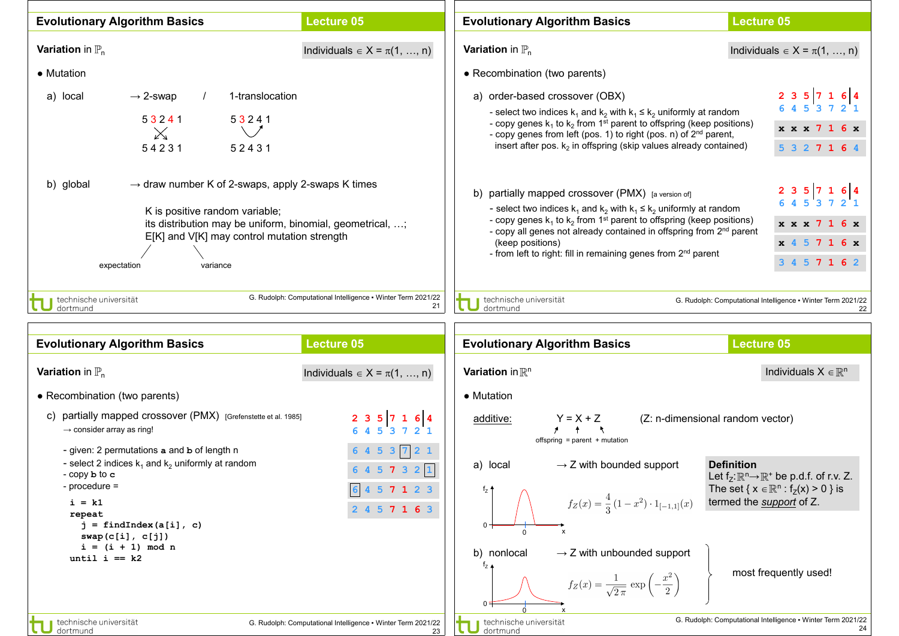| <b>Evolutionary Algorithm Basics</b>                                                                                                                                                                                                                | <b>Lecture 05</b>                                                  | <b>Evolutionary Algorithm Basics</b>                                                                                                                                                                                                                                                                                                                                                                           | <b>Lecture 05</b>                                                                 |
|-----------------------------------------------------------------------------------------------------------------------------------------------------------------------------------------------------------------------------------------------------|--------------------------------------------------------------------|----------------------------------------------------------------------------------------------------------------------------------------------------------------------------------------------------------------------------------------------------------------------------------------------------------------------------------------------------------------------------------------------------------------|-----------------------------------------------------------------------------------|
| <b>Variation</b> in $\mathbb{P}_n$<br>• Mutation                                                                                                                                                                                                    | Individuals $\in X = \pi(1, , n)$                                  | <b>Variation</b> in $\mathbb{P}_n$<br>• Recombination (two parents)                                                                                                                                                                                                                                                                                                                                            | Individuals $\in X = \pi(1, , n)$                                                 |
| $\rightarrow$ 2-swap<br>1-translocation<br>a) local<br>53241<br>53241<br>$\mathbb{X}$<br>54231<br>52431                                                                                                                                             |                                                                    | a) order-based crossover (OBX)<br>- select two indices $k_1$ and $k_2$ with $k_1 \leq k_2$ uniformly at random<br>- copy genes $k_1$ to $k_2$ from 1 <sup>st</sup> parent to offspring (keep positions)<br>- copy genes from left (pos. 1) to right (pos. n) of 2 <sup>nd</sup> parent,<br>insert after pos. $k_2$ in offspring (skip values already contained)                                                | 2357164<br>4 5 3 7 2 1<br>x x x 7 1 6 x<br>5 3 2 7 1 6 4                          |
| $\rightarrow$ draw number K of 2-swaps, apply 2-swaps K times<br>b) global<br>K is positive random variable;<br>its distribution may be uniform, binomial, geometrical, ;<br>E[K] and V[K] may control mutation strength<br>expectation<br>variance |                                                                    | b) partially mapped crossover (PMX) [a version of]<br>- select two indices $k_1$ and $k_2$ with $k_1 \le k_2$ uniformly at random<br>- copy genes $k_1$ to $k_2$ from 1 <sup>st</sup> parent to offspring (keep positions)<br>- copy all genes not already contained in offspring from 2 <sup>nd</sup> parent<br>(keep positions)<br>- from left to right: fill in remaining genes from 2 <sup>nd</sup> parent | 2 3 5 7 1 6 4<br>6 4 5 3 7 2 1<br>x x x 7 1 6 x<br>x 4 5 7 1 6 x<br>3 4 5 7 1 6 2 |
| technische universität<br>dortmund                                                                                                                                                                                                                  | G. Rudolph: Computational Intelligence • Winter Term 2021/22<br>21 | technische universität<br>dortmund                                                                                                                                                                                                                                                                                                                                                                             | G. Rudolph: Computational Intelligence . Winter Term 2021/22<br>22                |
| <b>Evolutionary Algorithm Basics</b>                                                                                                                                                                                                                | <b>Lecture 05</b>                                                  | <b>Evolutionary Algorithm Basics</b>                                                                                                                                                                                                                                                                                                                                                                           | <b>Lecture 05</b>                                                                 |
| <b>Variation</b> in $\mathbb{P}_n$                                                                                                                                                                                                                  | Individuals $\in X = \pi(1, , n)$                                  | Variation in $\mathbb{R}^n$                                                                                                                                                                                                                                                                                                                                                                                    | Individuals $X \in \mathbb{R}^n$                                                  |
| • Recombination (two parents)                                                                                                                                                                                                                       |                                                                    | • Mutation                                                                                                                                                                                                                                                                                                                                                                                                     |                                                                                   |
| partially mapped crossover (PMX) [Grefenstette et al. 1985]<br>C)<br>$\rightarrow$ consider array as ring!                                                                                                                                          | 2357164                                                            | $Y = X + Z$<br>additive:<br>offspring = parent + mutation                                                                                                                                                                                                                                                                                                                                                      | (Z: n-dimensional random vector)                                                  |
| - given: 2 permutations a and b of length n<br>- select 2 indices $k_1$ and $k_2$ uniformly at random                                                                                                                                               | 6 4 5 3 $\boxed{7}$ 2 1<br>645722                                  | $\rightarrow$ Z with bounded support<br>a) local                                                                                                                                                                                                                                                                                                                                                               | <b>Definition</b>                                                                 |

- copy **b** to **c** - procedure =

technische universität

dortmund

**i = k1 repeat j = findIndex(a[i], c) swap(c[i], c[j]) i = (i + 1) mod n**  $until i == k2$ 

G. Rudolph: Computational Intelligence ▪ Winter Term 2021/22

**6 4 5 7 3 2 1**

**6 4 5 7 1 2 3**

**2 4 5 7 1 6 3**



 $0 \cdot$ 

 $f_{Z}$  4

 $f<sub>Z</sub>$ 

x

x

b) nonlocal  $\rightarrow$  Z with unbounded support

 $f_Z(x) = \frac{4}{3} (1 - x^2) \cdot 1_{[-1,1]}(x)$ 

 $f_Z(x) = \frac{1}{\sqrt{2\pi}} \exp\left(-\frac{x^2}{2}\right)$ 

 $\overline{0}$ 

0

Let  $f_Z: \mathbb{R}^n \to \mathbb{R}^+$  be p.d.f. of r.v. Z. The set {  $x \in \mathbb{R}^n : f_Z(x) > 0$  } is termed the *support* of Z.

most frequently used!